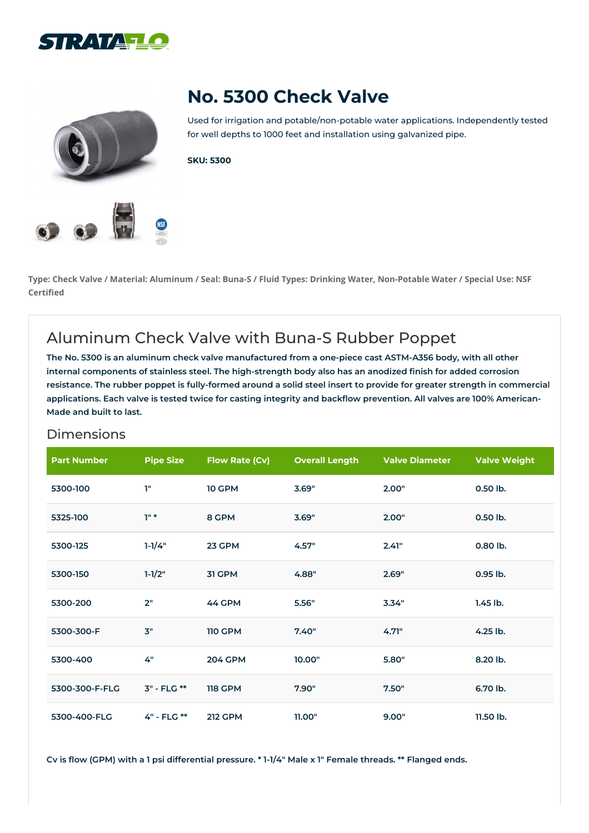





Used for irrigation and potable/non-potable water applications. Independently tested for well depths to 1000 feet and installation using galvanized pipe.

**SKU: 5300**

Type: Check Valve / Material: Aluminum / Seal: Buna-S / Fluid Types: Drinking Water, Non-Potable Water / Special Use: NSF **Certified**

## Aluminum Check Valve with Buna-S Rubber Poppet

The No. 5300 is an aluminum check valve manufactured from a one-piece cast ASTM-A356 body, with all other **internal components of stainless steel. The high-strength body also has an anodized finish for added corrosion** resistance. The rubber poppet is fully-formed around a solid steel insert to provide for greater strength in commercial applications. Each valve is tested twice for casting integrity and backflow prevention. All valves are 100% American-**Made and built to last.**

## Dimensions

| <b>Part Number</b> | <b>Pipe Size</b> | <b>Flow Rate (Cv)</b> | <b>Overall Length</b> | <b>Valve Diameter</b> | <b>Valve Weight</b> |
|--------------------|------------------|-----------------------|-----------------------|-----------------------|---------------------|
| 5300-100           | T"               | <b>10 GPM</b>         | 3.69"                 | 2.00"                 | 0.50 lb.            |
| 5325-100           | $10*$            | 8 GPM                 | 3.69"                 | 2.00"                 | 0.50 lb.            |
| 5300-125           | $1 - 1/4"$       | 23 GPM                | 4.57"                 | 2.41"                 | 0.80 lb.            |
| 5300-150           | $1 - 1/2"$       | 31 GPM                | 4.88"                 | 2.69"                 | 0.95 lb.            |
| 5300-200           | 2"               | 44 GPM                | 5.56"                 | 3.34"                 | $1.45$ lb.          |
| 5300-300-F         | 3"               | <b>110 GPM</b>        | 7.40"                 | 4.71"                 | 4.25 lb.            |
| 5300-400           | 4"               | <b>204 GPM</b>        | 10.00"                | 5.80"                 | 8.20 lb.            |
| 5300-300-F-FLG     | 3" - FLG **      | <b>118 GPM</b>        | 7.90"                 | 7.50"                 | 6.70 lb.            |
| 5300-400-FLG       | 4" - FLG **      | <b>212 GPM</b>        | 11.00"                | 9.00"                 | 11.50 lb.           |

Cv is flow (GPM) with a 1 psi differential pressure. \* 1-1/4" Male x 1" Female threads. \*\* Flanged ends.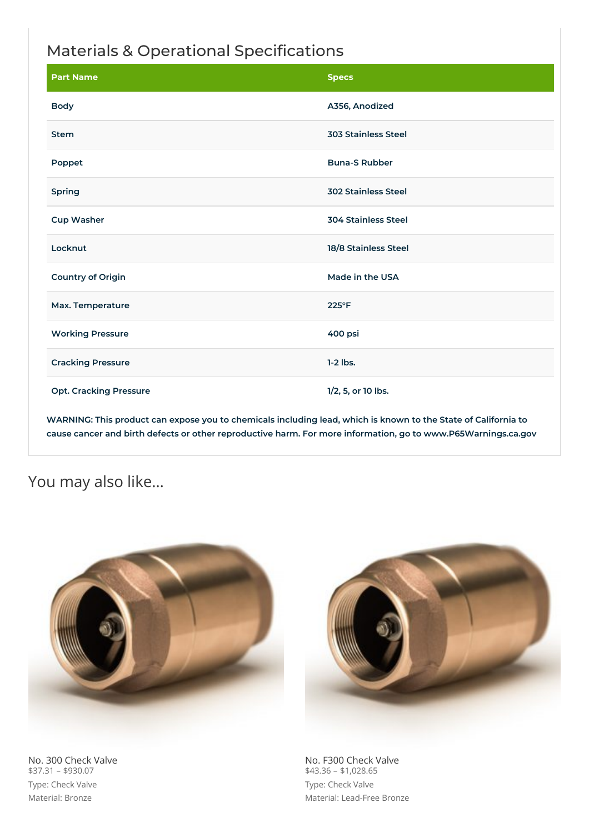## Materials & Operational Specifications

| <b>Part Name</b>              | <b>Specs</b>               |
|-------------------------------|----------------------------|
| <b>Body</b>                   | A356, Anodized             |
| <b>Stem</b>                   | <b>303 Stainless Steel</b> |
| Poppet                        | <b>Buna-S Rubber</b>       |
| Spring                        | <b>302 Stainless Steel</b> |
| <b>Cup Washer</b>             | <b>304 Stainless Steel</b> |
| Locknut                       | 18/8 Stainless Steel       |
| <b>Country of Origin</b>      | Made in the USA            |
| Max. Temperature              | 225°F                      |
| <b>Working Pressure</b>       | 400 psi                    |
| <b>Cracking Pressure</b>      | $1-2$ lbs.                 |
| <b>Opt. Cracking Pressure</b> | 1/2, 5, or 10 lbs.         |

WARNING: This product can expose you to chemicals including lead, which is known to the State of California to **cause cancer and birth defects or other reproductive harm. For more information, go to www.P65Warnings.ca.gov**

## You may also like…



No. 300 Check Valve \$37.31 – \$930.07 Type: Check Valve Material: Bronze



No. F300 Check Valve  $$43.36 - $1,028.65$ Type: Check Valve Material: Lead-Free Bronze